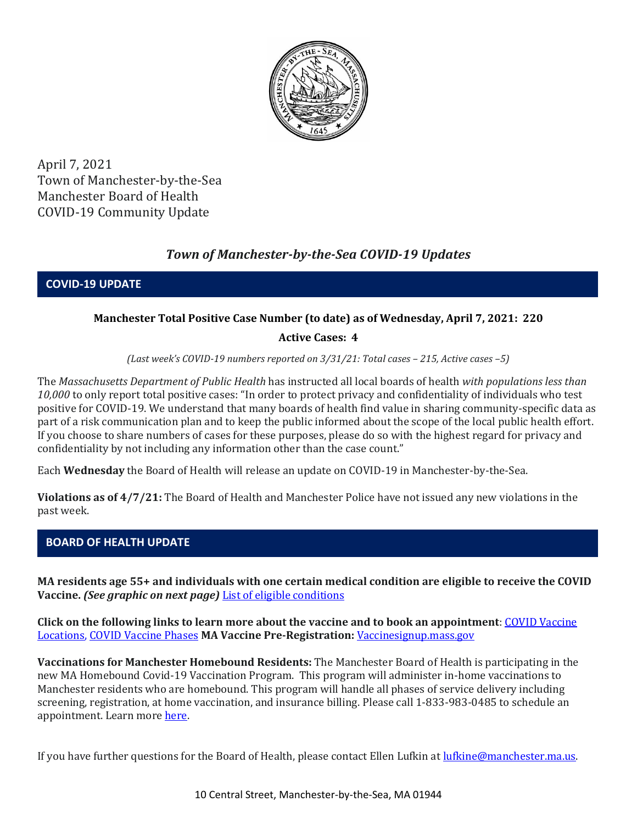

April 7, 2021 Town of Manchester-by-the-Sea Manchester Board of Health COVID-19 Community Update

# *Town of Manchester-by-the-Sea COVID-19 Updates*

**COVID-19 UPDATE**

# **Manchester Total Positive Case Number (to date) as of Wednesday, April 7, 2021: 220**

## **Active Cases: 4**

*(Last week's COVID-19 numbers reported on 3/31/21: Total cases – 215, Active cases –5)*

The *Massachusetts Department of Public Health* has instructed all local boards of health *with populations less than 10,000* to only report total positive cases: "In order to protect privacy and confidentiality of individuals who test positive for COVID-19. We understand that many boards of health find value in sharing community-specific data as part of a risk communication plan and to keep the public informed about the scope of the local public health effort. If you choose to share numbers of cases for these purposes, please do so with the highest regard for privacy and confidentiality by not including any information other than the case count."

Each **Wednesday** the Board of Health will release an update on COVID-19 in Manchester-by-the-Sea.

**Violations as of 4/7/21:** The Board of Health and Manchester Police have not issued any new violations in the past week.

## **BOARD OF HEALTH UPDATE**

**MA residents age 55+ and individuals with one certain medical condition are eligible to receive the COVID Vaccine.** *(See graphic on next page)* [List of eligible conditions](https://www.cdc.gov/coronavirus/2019-ncov/need-extra-precautions/people-with-medical-conditions.html)

**Click on the following links to learn more about the vaccine and to book an appointment**[: COVID Vaccine](https://www.mass.gov/info-details/covid-19-vaccination-locations)  [Locations, COVID Vaccine Phases](https://www.mass.gov/info-details/covid-19-vaccination-locations) **MA Vaccine Pre-Registration:** [Vaccinesignup.mass.gov](https://vaccinesignup.mass.gov/#/)

**Vaccinations for Manchester Homebound Residents:** The Manchester Board of Health is participating in the new MA Homebound Covid-19 Vaccination Program. This program will administer in-home vaccinations to Manchester residents who are homebound. This program will handle all phases of service delivery including screening, registration, at home vaccination, and insurance billing. Please call 1-833-983-0485 to schedule an appointment. Learn mor[e here.](http://manchester.ma.us/337/Board-of-Health)

If you have further questions for the Board of Health, please contact Ellen Lufkin at <u>lufkine@manchester.ma.us</u>.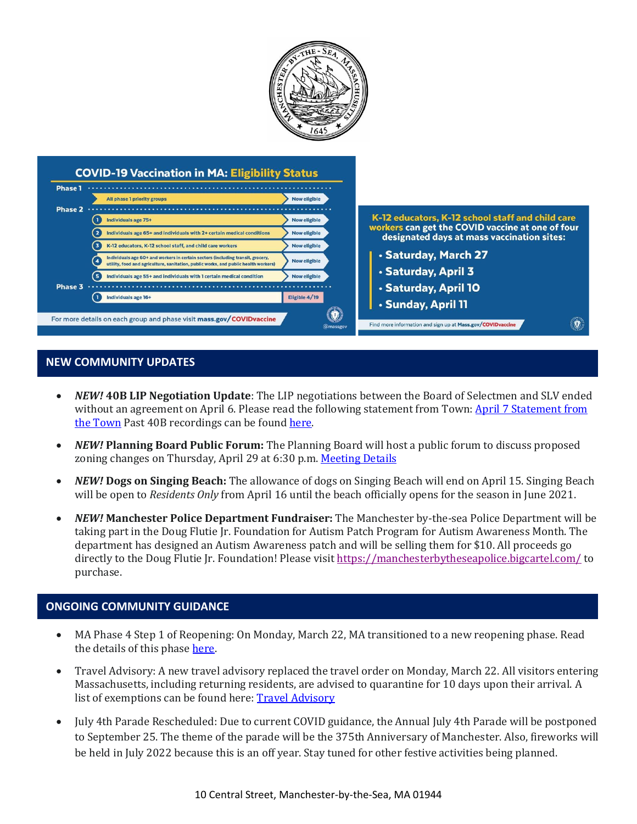

#### **NEW COMMUNITY UPDATES**

- *NEW!* **40B LIP Negotiation Update**: The LIP negotiations between the Board of Selectmen and SLV ended without an agreement on April 6. Please read the following statement from Town: [April 7 Statement from](https://www.manchester.ma.us/DocumentCenter/View/3775/40B-LIP-Negotiations-End-without-Agreement-040821-FINAL)  [the Town](https://www.manchester.ma.us/DocumentCenter/View/3775/40B-LIP-Negotiations-End-without-Agreement-040821-FINAL) Past 40B recordings can be found [here.](http://manchester.ma.us/729/40B)
- *NEW!* **Planning Board Public Forum:** The Planning Board will host a public forum to discuss proposed zoning changes on Thursday, April 29 at 6:30 p.m[. Meeting Details](http://manchester.ma.us/Calendar.aspx?EID=1860)
- *NEW!* **Dogs on Singing Beach:** The allowance of dogs on Singing Beach will end on April 15. Singing Beach will be open to *Residents Only* from April 16 until the beach officially opens for the season in June 2021.
- *NEW!* **Manchester Police Department Fundraiser:** The Manchester by-the-sea Police Department will be taking part in the Doug Flutie Jr. Foundation for Autism Patch Program for Autism Awareness Month. The department has designed an Autism Awareness patch and will be selling them for \$10. All proceeds go directly to the Doug Flutie Jr. Foundation! Please visit <https://manchesterbytheseapolice.bigcartel.com/> to purchase.

#### **ONGOING COMMUNITY GUIDANCE**

- MA Phase 4 Step 1 of Reopening: On Monday, March 22, MA transitioned to a new reopening phase. Read the details of this phase [here.](https://www.mass.gov/news/baker-polito-administration-announces-transition-to-phase-iv-of-reopening-plan)
- Travel Advisory: A new travel advisory replaced the travel order on Monday, March 22. All visitors entering Massachusetts, including returning residents, are advised to quarantine for 10 days upon their arrival. A list of exemptions can be found here: **Travel Advisory**
- July 4th Parade Rescheduled: Due to current COVID guidance, the Annual July 4th Parade will be postponed to September 25. The theme of the parade will be the 375th Anniversary of Manchester. Also, fireworks will be held in July 2022 because this is an off year. Stay tuned for other festive activities being planned.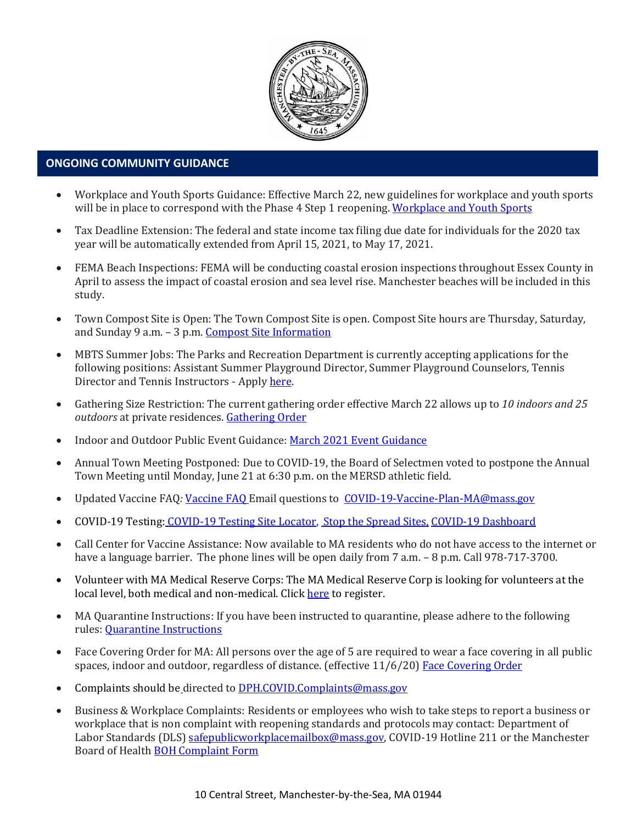

#### **ONGOING COMMUNITY GUIDANCE**

- Workplace and Youth Sports Guidance: Effective March 22, new guidelines for workplace and youth sports will be in place to correspond with the Phase 4 Step 1 reopening[. Workplace and Youth Sports](https://www.mass.gov/doc/safety-standards-for-youth-and-adult-amateur-sports-activities-phase-iv-step-1-effective-32221/download)
- Tax Deadline Extension: The federal and state income tax filing due date for individuals for the 2020 tax year will be automatically extended from April 15, 2021, to May 17, 2021.
- FEMA Beach Inspections: FEMA will be conducting coastal erosion inspections throughout Essex County in April to assess the impact of coastal erosion and sea level rise. Manchester beaches will be included in this study.
- Town Compost Site is Open: The Town Compost Site is open. Compost Site hours are Thursday, Saturday, and Sunday 9 a.m. – 3 p.m. [Compost Site Information](https://www.manchester.ma.us/413/Yard-Compost-Site)
- MBTS Summer Jobs: The Parks and Recreation Department is currently accepting applications for the following positions: Assistant Summer Playground Director, Summer Playground Counselors, Tennis Director and Tennis Instructors - Apply [here.](https://www.manchester.ma.us/268/Parks-Recreation)
- Gathering Size Restriction: The current gathering order effective March 22 allows up to *10 indoors and 25 outdoors* at private residences. [Gathering Order](https://www.manchester.ma.us/DocumentCenter/View/3746/Signed-Appendix-for-Gatherings-Order-31821)
- Indoor and Outdoor Public Event Guidance[: March 2021 Event Guidance](https://www.manchester.ma.us/DocumentCenter/View/3736/Final_Indoor-and-Outdoor-Events-Guidance-31121)
- Annual Town Meeting Postponed: Due to COVID-19, the Board of Selectmen voted to postpone the Annual Town Meeting until Monday, June 21 at 6:30 p.m. on the MERSD athletic field.
- Updated Vaccine FAQ*:* [Vaccine FAQ](https://www.mass.gov/doc/covid-19-vaccine-frequently-asked-questions/download) Email questions to [COVID-19-Vaccine-Plan-MA@mass.gov](file:///C:/Users/marlettat/Desktop/Public%20Relations/2021/COVID-19-Vaccine-Plan-MA@mass.gov)
- COVID-19 Testing: [COVID-19 Testing Site Locator,](https://memamaps.maps.arcgis.com/apps/webappviewer/index.html?id=eba3f0395451430b9f631cb095febf13) [Stop the Spread Sites,](https://www.mass.gov/info-details/stop-the-spread) [COVID-19 Dashboard](https://www.mass.gov/info-details/covid-19-response-reporting#covid-19-interactive-data-dashboard-)
- Call Center for Vaccine Assistance: Now available to MA residents who do not have access to the internet or have a language barrier. The phone lines will be open daily from 7 a.m.  $-8$  p.m. Call 978-717-3700.
- Volunteer with MA Medical Reserve Corps: The MA Medical Reserve Corp is looking for volunteers at the local level, both medical and non-medical. Clic[k here](https://l.facebook.com/l.php?u=https%3A%2F%2Fwww.mamedicalreservecorps.org%2Fcovid19%3Ffbclid%3DIwAR1O_7U70XMSPe_kbb689S7zAJbCTYavpqNhIz9Ce2s-encj1Mlz3fOmjYI&h=AT3a2b6zxupFiw2RA_9kLVFDLZwmtblukw3wwe3pvVN6YWtLrkwxEyW8Z8S97uuzXDiNt1x4DYp7DeOoXm1U98GjBQQufV4R5eC5sYpFoqMi6iMDgiQu2THu_d0XoA0BnNUMg336NM-KtUxjtQ&__tn__=-UK-R&c%5b0%5d=AT2anP_ULhxU-U55t7AxrMiNTXfNIJnoicfzRyKEGzk_70Dtxb6ttNSKpwftDkeovmenW9ksjPEmhjSrMDjZ_NEMD2Upi_WEREnPIZBLU-8cgapV1WMi5HvUjS0InF_0K4aE4PXV6bei0V79lnY9jSo89LgXHVCMF9u0-PYa4j6cBMOzl7xPt7oB2_WGVQ8cDciW8b9U) to register.
- MA Quarantine Instructions: If you have been instructed to quarantine, please adhere to the following rules: [Quarantine Instructions](http://manchester.ma.us/DocumentCenter/View/3558/14-10-7-day-COVID19_Quarantine-information-1272020)
- Face Covering Order for MA: All persons over the age of 5 are required to wear a face covering in all public spaces, indoor and outdoor, regardless of distance. (effective 11/6/20) [Face Covering Order](http://manchester.ma.us/DocumentCenter/View/3499/Revised-Face-Coverings-Order-No-55-1?fbclid=IwAR1a7l39TKetEAZ_mA8K6saG2GZ1dRBKA9-xuJJ3tDlAVUGCp7YatZmCKEo)
- Complaints should be directed t[o DPH.COVID.Complaints@mass.gov](mailto:DPH.COVID.Complaints@mass.gov)
- Business & Workplace Complaints: Residents or employees who wish to take steps to report a business or workplace that is non complaint with reopening standards and protocols may contact: Department of Labor Standards (DLS[\) safepublicworkplacemailbox@mass.gov,](mailto:safepublicworkplacemailbox@mass.gov) COVID-19 Hotline 211 or the Manchester Board of Health [BOH Complaint Form](http://manchester.ma.us/DocumentCenter/View/3282/Board-of-Health-Complaint-Form-2020)